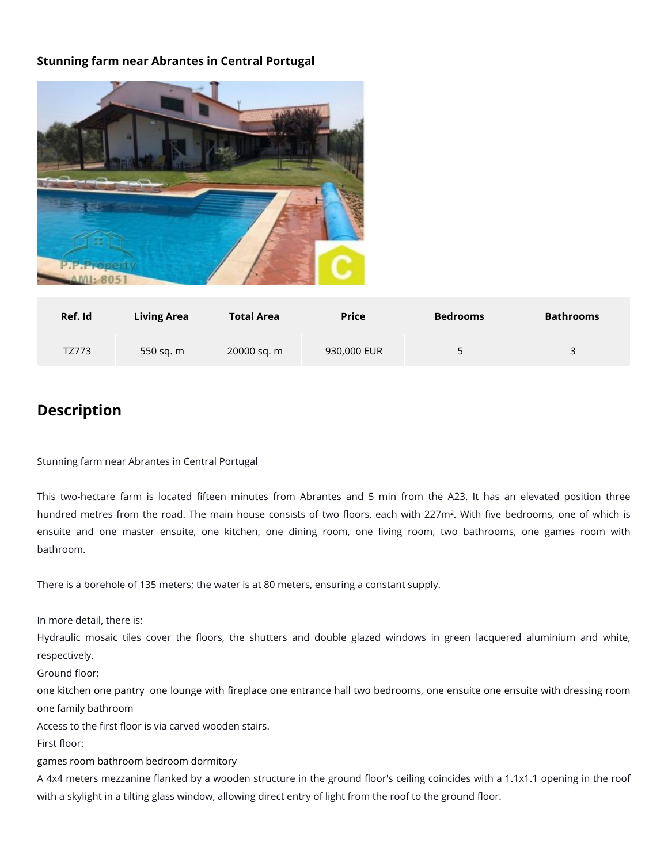## **Stunning farm near Abrantes in Central Portugal**



| Ref. Id | <b>Living Area</b> | <b>Total Area</b> | <b>Price</b> | <b>Bedrooms</b> | <b>Bathrooms</b> |
|---------|--------------------|-------------------|--------------|-----------------|------------------|
| TZ773   | 550 sq. m          | 20000 sq. m       | 930,000 EUR  | ∽<br>◡          | 3                |

## **Description**

Stunning farm near Abrantes in Central Portugal

This two-hectare farm is located fifteen minutes from Abrantes and 5 min from the A23. It has an elevated position three hundred metres from the road. The main house consists of two floors, each with 227m<sup>2</sup>. With five bedrooms, one of which is ensuite and one master ensuite, one kitchen, one dining room, one living room, two bathrooms, one games room with bathroom.

There is a borehole of 135 meters; the water is at 80 meters, ensuring a constant supply.

In more detail, there is:

Hydraulic mosaic tiles cover the floors, the shutters and double glazed windows in green lacquered aluminium and white, respectively.

Ground floor:

one kitchen one pantry one lounge with fireplace one entrance hall two bedrooms, one ensuite one ensuite with dressing room one family bathroom

Access to the first floor is via carved wooden stairs.

First floor:

games room bathroom bedroom dormitory

A 4x4 meters mezzanine flanked by a wooden structure in the ground floor's ceiling coincides with a 1.1x1.1 opening in the roof with a skylight in a tilting glass window, allowing direct entry of light from the roof to the ground floor.